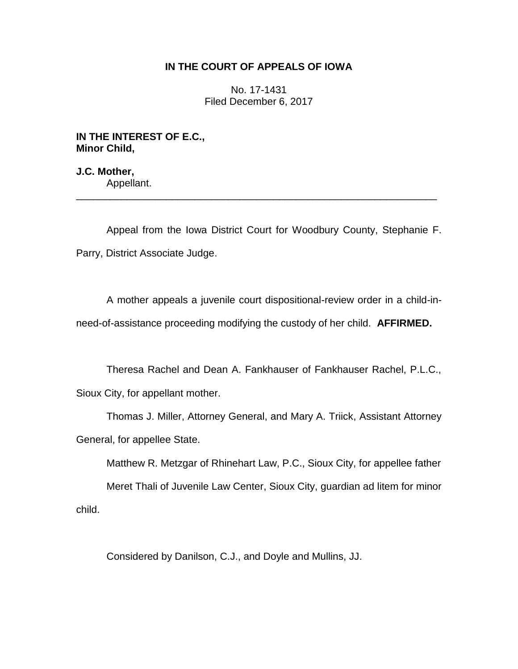## **IN THE COURT OF APPEALS OF IOWA**

No. 17-1431 Filed December 6, 2017

**IN THE INTEREST OF E.C., Minor Child,**

**J.C. Mother,** Appellant.

Appeal from the Iowa District Court for Woodbury County, Stephanie F. Parry, District Associate Judge.

\_\_\_\_\_\_\_\_\_\_\_\_\_\_\_\_\_\_\_\_\_\_\_\_\_\_\_\_\_\_\_\_\_\_\_\_\_\_\_\_\_\_\_\_\_\_\_\_\_\_\_\_\_\_\_\_\_\_\_\_\_\_\_\_

A mother appeals a juvenile court dispositional-review order in a child-inneed-of-assistance proceeding modifying the custody of her child. **AFFIRMED.** 

Theresa Rachel and Dean A. Fankhauser of Fankhauser Rachel, P.L.C., Sioux City, for appellant mother.

Thomas J. Miller, Attorney General, and Mary A. Triick, Assistant Attorney General, for appellee State.

Matthew R. Metzgar of Rhinehart Law, P.C., Sioux City, for appellee father

Meret Thali of Juvenile Law Center, Sioux City, guardian ad litem for minor child.

Considered by Danilson, C.J., and Doyle and Mullins, JJ.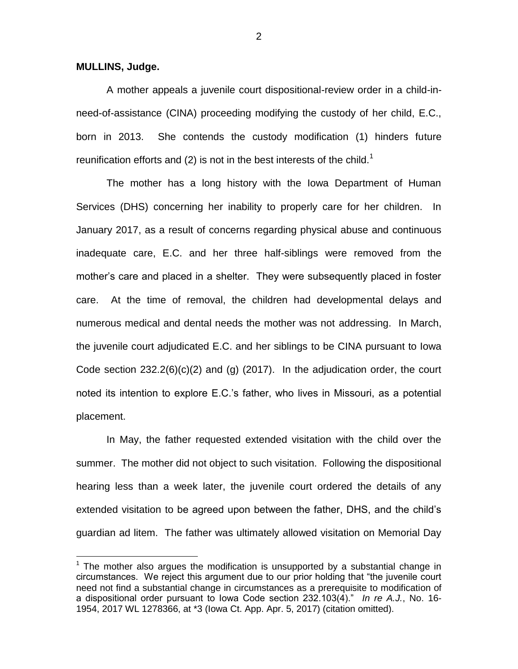## **MULLINS, Judge.**

 $\overline{a}$ 

A mother appeals a juvenile court dispositional-review order in a child-inneed-of-assistance (CINA) proceeding modifying the custody of her child, E.C., born in 2013. She contends the custody modification (1) hinders future reunification efforts and (2) is not in the best interests of the child.<sup>1</sup>

The mother has a long history with the Iowa Department of Human Services (DHS) concerning her inability to properly care for her children. In January 2017, as a result of concerns regarding physical abuse and continuous inadequate care, E.C. and her three half-siblings were removed from the mother's care and placed in a shelter. They were subsequently placed in foster care. At the time of removal, the children had developmental delays and numerous medical and dental needs the mother was not addressing. In March, the juvenile court adjudicated E.C. and her siblings to be CINA pursuant to Iowa Code section  $232.2(6)(c)(2)$  and (g) (2017). In the adjudication order, the court noted its intention to explore E.C.'s father, who lives in Missouri, as a potential placement.

In May, the father requested extended visitation with the child over the summer. The mother did not object to such visitation. Following the dispositional hearing less than a week later, the juvenile court ordered the details of any extended visitation to be agreed upon between the father, DHS, and the child's guardian ad litem. The father was ultimately allowed visitation on Memorial Day

2

 $1$  The mother also argues the modification is unsupported by a substantial change in circumstances. We reject this argument due to our prior holding that "the juvenile court need not find a substantial change in circumstances as a prerequisite to modification of a dispositional order pursuant to Iowa Code section 232.103(4)." *In re A.J.*, No. 16- 1954, 2017 WL 1278366, at \*3 (Iowa Ct. App. Apr. 5, 2017) (citation omitted).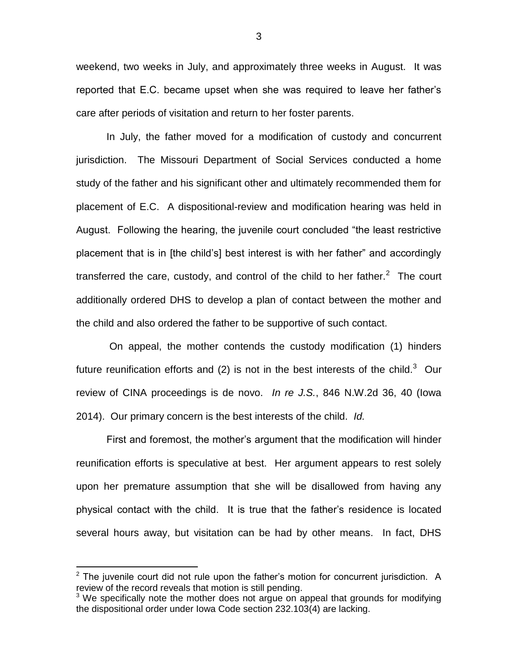weekend, two weeks in July, and approximately three weeks in August. It was reported that E.C. became upset when she was required to leave her father's care after periods of visitation and return to her foster parents.

In July, the father moved for a modification of custody and concurrent jurisdiction. The Missouri Department of Social Services conducted a home study of the father and his significant other and ultimately recommended them for placement of E.C. A dispositional-review and modification hearing was held in August. Following the hearing, the juvenile court concluded "the least restrictive placement that is in [the child's] best interest is with her father" and accordingly transferred the care, custody, and control of the child to her father. $2$  The court additionally ordered DHS to develop a plan of contact between the mother and the child and also ordered the father to be supportive of such contact.

On appeal, the mother contends the custody modification (1) hinders future reunification efforts and (2) is not in the best interests of the child.<sup>3</sup> Our review of CINA proceedings is de novo. *In re J.S.*, 846 N.W.2d 36, 40 (Iowa 2014). Our primary concern is the best interests of the child. *Id.*

First and foremost, the mother's argument that the modification will hinder reunification efforts is speculative at best. Her argument appears to rest solely upon her premature assumption that she will be disallowed from having any physical contact with the child. It is true that the father's residence is located several hours away, but visitation can be had by other means. In fact, DHS

 $\overline{a}$ 

 $2$  The juvenile court did not rule upon the father's motion for concurrent jurisdiction. A review of the record reveals that motion is still pending.

 $3$  We specifically note the mother does not argue on appeal that grounds for modifying the dispositional order under Iowa Code section 232.103(4) are lacking.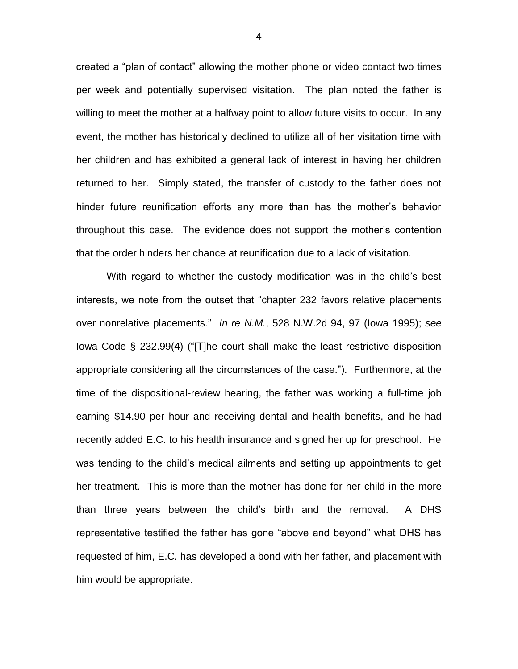created a "plan of contact" allowing the mother phone or video contact two times per week and potentially supervised visitation. The plan noted the father is willing to meet the mother at a halfway point to allow future visits to occur. In any event, the mother has historically declined to utilize all of her visitation time with her children and has exhibited a general lack of interest in having her children returned to her. Simply stated, the transfer of custody to the father does not hinder future reunification efforts any more than has the mother's behavior throughout this case. The evidence does not support the mother's contention that the order hinders her chance at reunification due to a lack of visitation.

With regard to whether the custody modification was in the child's best interests, we note from the outset that "chapter 232 favors relative placements over nonrelative placements." *In re N.M.*, 528 N.W.2d 94, 97 (Iowa 1995); *see*  Iowa Code § 232.99(4) ("[T]he court shall make the least restrictive disposition appropriate considering all the circumstances of the case."). Furthermore, at the time of the dispositional-review hearing, the father was working a full-time job earning \$14.90 per hour and receiving dental and health benefits, and he had recently added E.C. to his health insurance and signed her up for preschool. He was tending to the child's medical ailments and setting up appointments to get her treatment. This is more than the mother has done for her child in the more than three years between the child's birth and the removal. A DHS representative testified the father has gone "above and beyond" what DHS has requested of him, E.C. has developed a bond with her father, and placement with him would be appropriate.